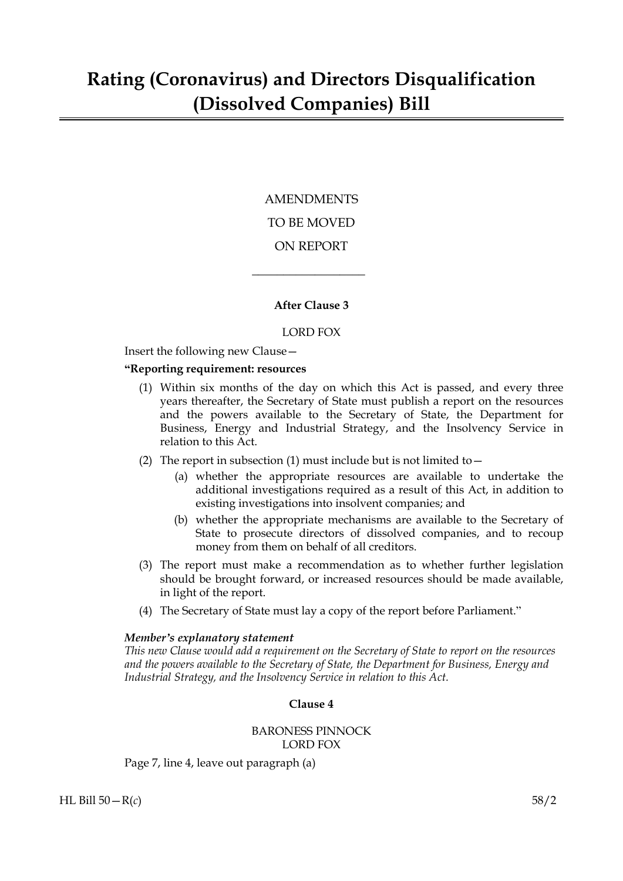# AMENDMENTS TO BE MOVED ON REPORT

# **After Clause 3**

 $\overline{\phantom{a}}$  , where  $\overline{\phantom{a}}$ 

#### LORD FOX

Insert the following new Clause—

#### **"Reporting requirement: resources**

- (1) Within six months of the day on which this Act is passed, and every three years thereafter, the Secretary of State must publish a report on the resources and the powers available to the Secretary of State, the Department for Business, Energy and Industrial Strategy, and the Insolvency Service in relation to this Act.
- (2) The report in subsection (1) must include but is not limited to  $-$ 
	- (a) whether the appropriate resources are available to undertake the additional investigations required as a result of this Act, in addition to existing investigations into insolvent companies; and
	- (b) whether the appropriate mechanisms are available to the Secretary of State to prosecute directors of dissolved companies, and to recoup money from them on behalf of all creditors.
- (3) The report must make a recommendation as to whether further legislation should be brought forward, or increased resources should be made available, in light of the report.
- (4) The Secretary of State must lay a copy of the report before Parliament."

#### *Member's explanatory statement*

*This new Clause would add a requirement on the Secretary of State to report on the resources and the powers available to the Secretary of State, the Department for Business, Energy and Industrial Strategy, and the Insolvency Service in relation to this Act.*

# **Clause 4**

# BARONESS PINNOCK LORD FOX

Page 7, line 4, leave out paragraph (a)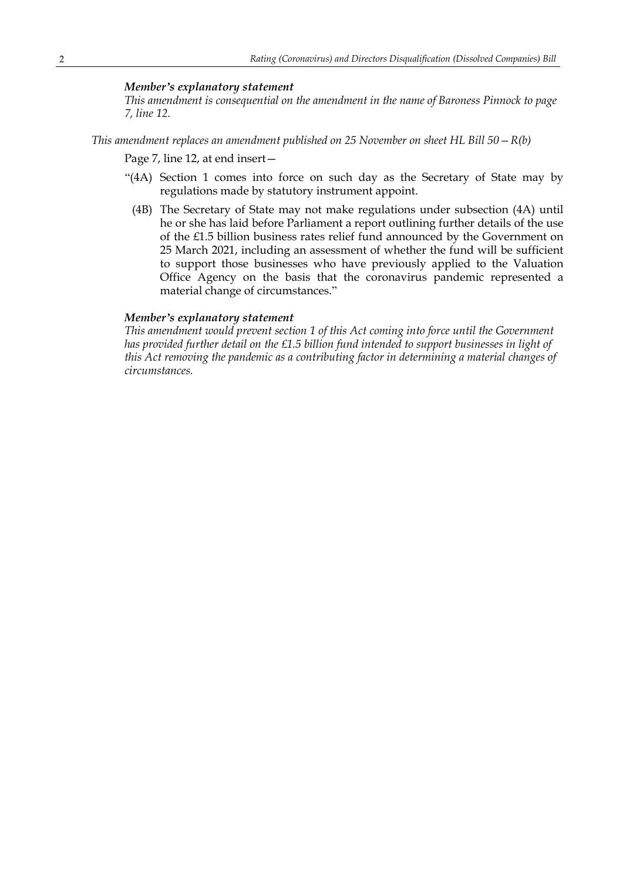#### *Member's explanatory statement*

*This amendment is consequential on the amendment in the name of Baroness Pinnock to page 7, line 12.*

*This amendment replaces an amendment published on 25 November on sheet HL Bill 50—R(b)*

Page 7, line 12, at end insert—

- "(4A) Section 1 comes into force on such day as the Secretary of State may by regulations made by statutory instrument appoint.
	- (4B) The Secretary of State may not make regulations under subsection (4A) until he or she has laid before Parliament a report outlining further details of the use of the £1.5 billion business rates relief fund announced by the Government on 25 March 2021, including an assessment of whether the fund will be sufficient to support those businesses who have previously applied to the Valuation Office Agency on the basis that the coronavirus pandemic represented a material change of circumstances."

#### *Member's explanatory statement*

*This amendment would prevent section 1 of this Act coming into force until the Government has provided further detail on the £1.5 billion fund intended to support businesses in light of this Act removing the pandemic as a contributing factor in determining a material changes of circumstances.*